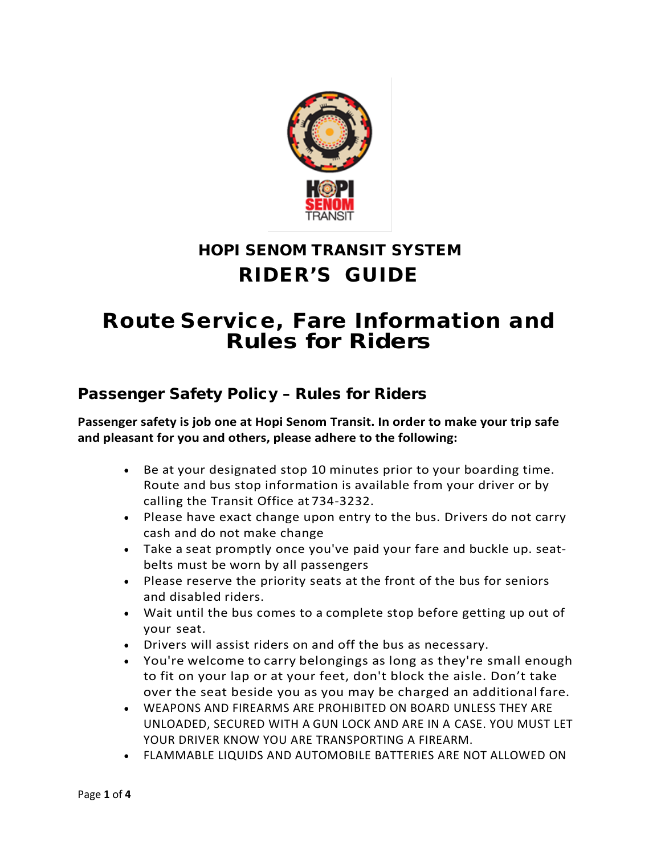

# HOPI SENOM TRANSIT SYSTEM RIDER'S GUIDE

# Route Service, Fare Information and Rules for Riders

# Passenger Safety Policy – Rules for Riders

#### **Passenger safety is job one at Hopi Senom Transit. In order to make your trip safe and pleasant for you and others, please adhere to the following:**

- Be at your designated stop 10 minutes prior to your boarding time. Route and bus stop information is available from your driver or by calling the Transit Office at 734-3232.
- Please have exact change upon entry to the bus. Drivers do not carry cash and do not make change
- Take a seat promptly once you've paid your fare and buckle up. seatbelts must be worn by all passengers
- Please reserve the priority seats at the front of the bus for seniors and disabled riders.
- Wait until the bus comes to a complete stop before getting up out of your seat.
- Drivers will assist riders on and off the bus as necessary.
- You're welcome to carry belongings as long as they're small enough to fit on your lap or at your feet, don't block the aisle. Don't take over the seat beside you as you may be charged an additional fare.
- WEAPONS AND FIREARMS ARE PROHIBITED ON BOARD UNLESS THEY ARE UNLOADED, SECURED WITH A GUN LOCK AND ARE IN A CASE. YOU MUST LET YOUR DRIVER KNOW YOU ARE TRANSPORTING A FIREARM.
- FLAMMABLE LIQUIDS AND AUTOMOBILE BATTERIES ARE NOT ALLOWED ON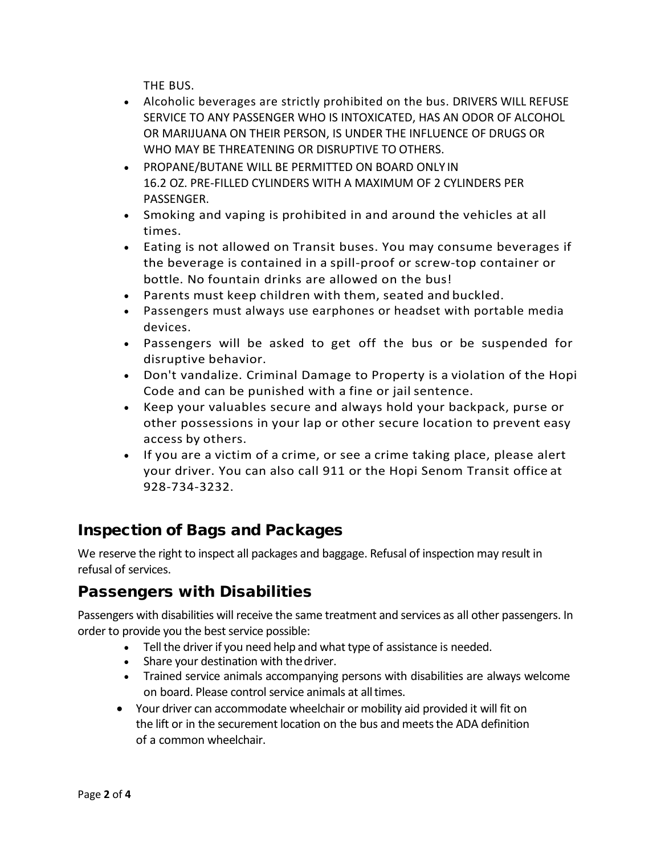THE BUS.

- Alcoholic beverages are strictly prohibited on the bus. DRIVERS WILL REFUSE SERVICE TO ANY PASSENGER WHO IS INTOXICATED, HAS AN ODOR OF ALCOHOL OR MARIJUANA ON THEIR PERSON, IS UNDER THE INFLUENCE OF DRUGS OR WHO MAY BE THREATENING OR DISRUPTIVE TO OTHERS.
- PROPANE/BUTANE WILL BE PERMITTED ON BOARD ONLY IN 16.2 OZ. PRE-FILLED CYLINDERS WITH A MAXIMUM OF 2 CYLINDERS PER PASSENGER.
- Smoking and vaping is prohibited in and around the vehicles at all times.
- Eating is not allowed on Transit buses. You may consume beverages if the beverage is contained in a spill-proof or screw-top container or bottle. No fountain drinks are allowed on the bus!
- Parents must keep children with them, seated and buckled.
- Passengers must always use earphones or headset with portable media devices.
- Passengers will be asked to get off the bus or be suspended for disruptive behavior.
- Don't vandalize. Criminal Damage to Property is a violation of the Hopi Code and can be punished with a fine or jail sentence.
- Keep your valuables secure and always hold your backpack, purse or other possessions in your lap or other secure location to prevent easy access by others.
- If you are a victim of a crime, or see a crime taking place, please alert your driver. You can also call 911 or the Hopi Senom Transit office at 928-734-3232.

# Inspection of Bags and Packages

We reserve the right to inspect all packages and baggage. Refusal of inspection may result in refusal of services.

# Passengers with Disabilities

Passengers with disabilities will receive the same treatment and services as all other passengers. In order to provide you the best service possible:

- Tell the driver if you need help and what type of assistance is needed.
- Share your destination with thedriver.
- Trained service animals accompanying persons with disabilities are always welcome on board. Please control service animals at all times.
- Your driver can accommodate wheelchair or mobility aid provided it will fit on the lift or in the securement location on the bus and meets the ADA definition of a common wheelchair.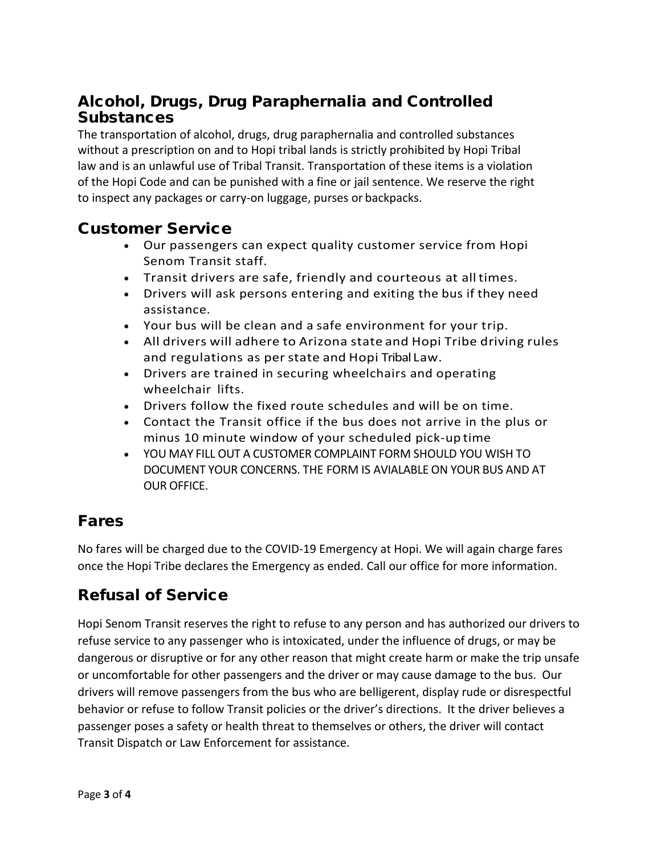### Alcohol, Drugs, Drug Paraphernalia and Controlled **Substances**

The transportation of alcohol, drugs, drug paraphernalia and controlled substances without a prescription on and to Hopi tribal lands is strictly prohibited by Hopi Tribal law and is an unlawful use of Tribal Transit. Transportation of these items is a violation of the Hopi Code and can be punished with a fine or jail sentence. We reserve the right to inspect any packages or carry-on luggage, purses or backpacks.

#### Customer Service

- Our passengers can expect quality customer service from Hopi Senom Transit staff.
- Transit drivers are safe, friendly and courteous at alltimes.
- Drivers will ask persons entering and exiting the bus if they need assistance.
- Your bus will be clean and a safe environment for your trip.
- All drivers will adhere to Arizona state and Hopi Tribe driving rules and regulations as per state and Hopi Tribal Law.
- Drivers are trained in securing wheelchairs and operating wheelchair lifts.
- Drivers follow the fixed route schedules and will be on time.
- Contact the Transit office if the bus does not arrive in the plus or minus 10 minute window of your scheduled pick-up time
- YOU MAY FILL OUT A CUSTOMER COMPLAINT FORM SHOULD YOU WISH TO DOCUMENT YOUR CONCERNS. THE FORM IS AVIALABLE ON YOUR BUS AND AT OUR OFFICE.

### Fares

No fares will be charged due to the COVID-19 Emergency at Hopi. We will again charge fares once the Hopi Tribe declares the Emergency as ended. Call our office for more information.

# Refusal of Service

Hopi Senom Transit reserves the right to refuse to any person and has authorized our drivers to refuse service to any passenger who is intoxicated, under the influence of drugs, or may be dangerous or disruptive or for any other reason that might create harm or make the trip unsafe or uncomfortable for other passengers and the driver or may cause damage to the bus. Our drivers will remove passengers from the bus who are belligerent, display rude or disrespectful behavior or refuse to follow Transit policies or the driver's directions. It the driver believes a passenger poses a safety or health threat to themselves or others, the driver will contact Transit Dispatch or Law Enforcement for assistance.